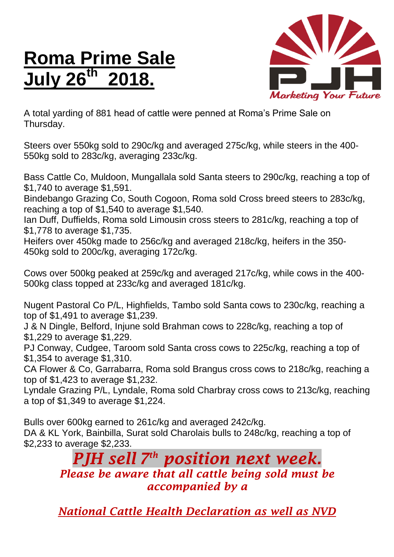## **Roma Prime Sale July 26 th 2018.**



A total yarding of 881 head of cattle were penned at Roma's Prime Sale on Thursday.

Steers over 550kg sold to 290c/kg and averaged 275c/kg, while steers in the 400- 550kg sold to 283c/kg, averaging 233c/kg.

Bass Cattle Co, Muldoon, Mungallala sold Santa steers to 290c/kg, reaching a top of \$1,740 to average \$1,591.

Bindebango Grazing Co, South Cogoon, Roma sold Cross breed steers to 283c/kg, reaching a top of \$1,540 to average \$1,540.

Ian Duff, Duffields, Roma sold Limousin cross steers to 281c/kg, reaching a top of \$1,778 to average \$1,735.

Heifers over 450kg made to 256c/kg and averaged 218c/kg, heifers in the 350- 450kg sold to 200c/kg, averaging 172c/kg.

Cows over 500kg peaked at 259c/kg and averaged 217c/kg, while cows in the 400- 500kg class topped at 233c/kg and averaged 181c/kg.

Nugent Pastoral Co P/L, Highfields, Tambo sold Santa cows to 230c/kg, reaching a top of \$1,491 to average \$1,239.

J & N Dingle, Belford, Injune sold Brahman cows to 228c/kg, reaching a top of \$1,229 to average \$1,229.

PJ Conway, Cudgee, Taroom sold Santa cross cows to 225c/kg, reaching a top of \$1,354 to average \$1,310.

CA Flower & Co, Garrabarra, Roma sold Brangus cross cows to 218c/kg, reaching a top of \$1,423 to average \$1,232.

Lyndale Grazing P/L, Lyndale, Roma sold Charbray cross cows to 213c/kg, reaching a top of \$1,349 to average \$1,224.

Bulls over 600kg earned to 261c/kg and averaged 242c/kg. DA & KL York, Bainbilla, Surat sold Charolais bulls to 248c/kg, reaching a top of \$2,233 to average \$2,233.

*PJH sell 7 th position next week. Please be aware that all cattle being sold must be accompanied by a* 

*National Cattle Health Declaration as well as NVD*